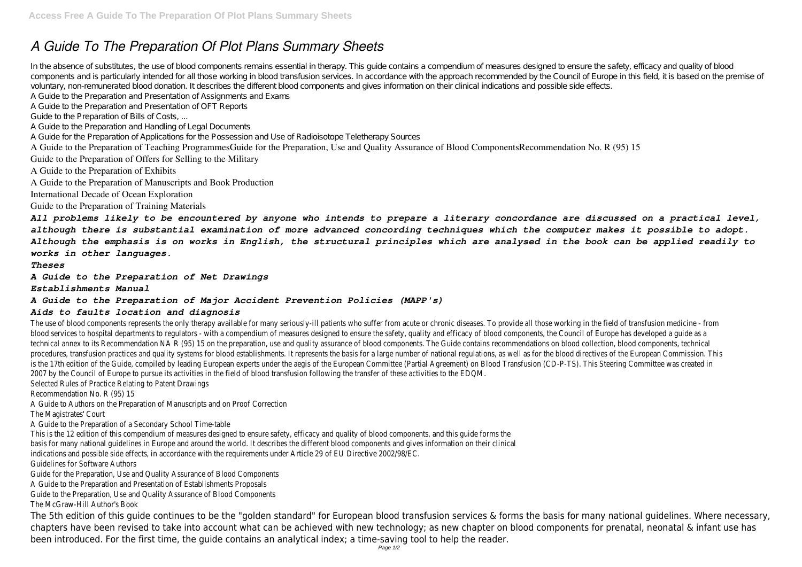# *A Guide To The Preparation Of Plot Plans Summary Sheets*

In the absence of substitutes, the use of blood components remains essential in therapy. This guide contains a compendium of measures designed to ensure the safety, efficacy and quality of blood components and is particularly intended for all those working in blood transfusion services. In accordance with the approach recommended by the Council of Europe in this field, it is based on the premise of voluntary, non-remunerated blood donation. It describes the different blood components and gives information on their clinical indications and possible side effects. A Guide to the Preparation and Presentation of Assignments and Exams

A Guide to the Preparation and Presentation of OFT Reports

Guide to the Preparation of Bills of Costs, ...

A Guide to the Preparation and Handling of Legal Documents

A Guide for the Preparation of Applications for the Possession and Use of Radioisotope Teletherapy Sources

A Guide to the Preparation of Teaching ProgrammesGuide for the Preparation, Use and Quality Assurance of Blood ComponentsRecommendation No. R (95) 15

Guide to the Preparation of Offers for Selling to the Military

A Guide to the Preparation of Exhibits

A Guide to the Preparation of Manuscripts and Book Production

International Decade of Ocean Exploration

Guide to the Preparation of Training Materials

The use of blood components represents the only therapy available for many seriously-ill patients who suffer from acute or chronic diseases. To provide all those working in the field of transfusion f blood services to hospital departments to regulators - with a compendium of measures designed to ensure the safety, quality and efficacy of blood components, the Council of Europe ha technical annex to its Recommendation NA R (95) 15 on the preparation, use and quality assurance of blood components. The Guide contains recommendations on blood collection, blood on procedures, transfusion practices and quality systems for blood establishments. It represents the basis for a large number of national regulations, as well as for the blood directives of the European Commission. This is no is the 17th edition of the Guide, compiled by leading European experts under the aegis of the European Committee (Partial Agreement) on Blood Transfusion (CD-P-TS). This Steering Comm 2007 by the Council of Europe to pursue its activities in the field of blood transfusion following the transfer of these activities to the EDQM. Selected Rules of Practice Relating to Patent Drawings

*All problems likely to be encountered by anyone who intends to prepare a literary concordance are discussed on a practical level, although there is substantial examination of more advanced concording techniques which the computer makes it possible to adopt. Although the emphasis is on works in English, the structural principles which are analysed in the book can be applied readily to works in other languages.*

*Theses*

*A Guide to the Preparation of Net Drawings*

*Establishments Manual*

#### *A Guide to the Preparation of Major Accident Prevention Policies (MAPP's)*

#### *Aids to faults location and diagnosis*

Recommendation No. R (95) 15

A Guide to Authors on the Preparation of Manuscripts and on Proof Correction

The Magistrates' Court

A Guide to the Preparation of a Secondary School Time-table

This is the 12 edition of this compendium of measures designed to ensure safety, efficacy and quality of blood components, and this guide forms the basis for many national guidelines in Europe and around the world. It describes the different blood components and gives information on their clinical indications and possible side effects, in accordance with the requirements under Article 29 of EU Directive 2002/98/EC. Guidelines for Software Authors

Guide for the Preparation, Use and Quality Assurance of Blood Components

A Guide to the Preparation and Presentation of Establishments Proposals

Guide to the Preparation, Use and Quality Assurance of Blood Components

The McGraw-Hill Author's Book

The 5th edition of this guide continues to be the "golden standard" for European blood transfusion services & forms the basis for many national guidelines. Where necessary, chapters have been revised to take into account what can be achieved with new technology; as new chapter on blood components for prenatal, neonatal & infant use has been introduced. For the first time, the guide contains an analytical index; a time-saving tool to help the reader.